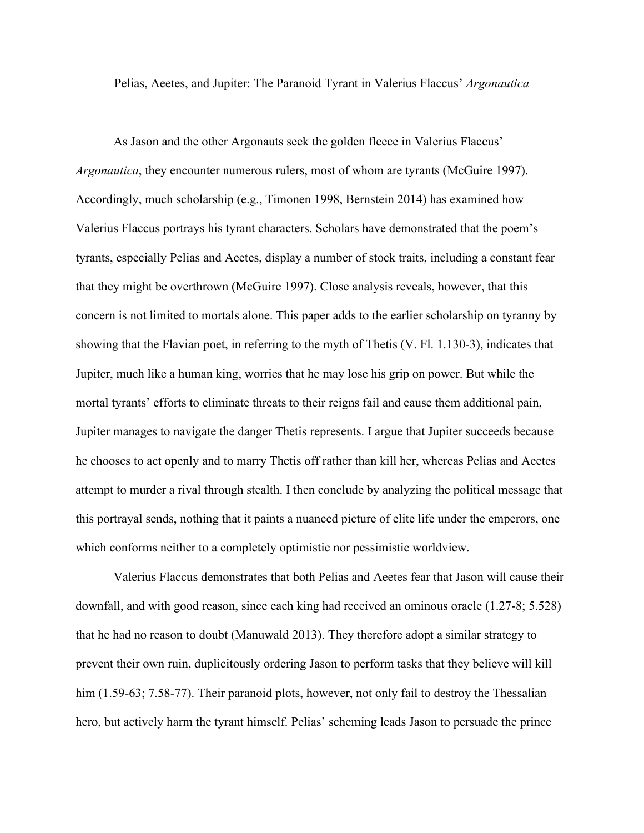Pelias, Aeetes, and Jupiter: The Paranoid Tyrant in Valerius Flaccus' *Argonautica*

As Jason and the other Argonauts seek the golden fleece in Valerius Flaccus' *Argonautica*, they encounter numerous rulers, most of whom are tyrants (McGuire 1997). Accordingly, much scholarship (e.g., Timonen 1998, Bernstein 2014) has examined how Valerius Flaccus portrays his tyrant characters. Scholars have demonstrated that the poem's tyrants, especially Pelias and Aeetes, display a number of stock traits, including a constant fear that they might be overthrown (McGuire 1997). Close analysis reveals, however, that this concern is not limited to mortals alone. This paper adds to the earlier scholarship on tyranny by showing that the Flavian poet, in referring to the myth of Thetis (V. Fl. 1.130-3), indicates that Jupiter, much like a human king, worries that he may lose his grip on power. But while the mortal tyrants' efforts to eliminate threats to their reigns fail and cause them additional pain, Jupiter manages to navigate the danger Thetis represents. I argue that Jupiter succeeds because he chooses to act openly and to marry Thetis off rather than kill her, whereas Pelias and Aeetes attempt to murder a rival through stealth. I then conclude by analyzing the political message that this portrayal sends, nothing that it paints a nuanced picture of elite life under the emperors, one which conforms neither to a completely optimistic nor pessimistic worldview.

Valerius Flaccus demonstrates that both Pelias and Aeetes fear that Jason will cause their downfall, and with good reason, since each king had received an ominous oracle (1.27-8; 5.528) that he had no reason to doubt (Manuwald 2013). They therefore adopt a similar strategy to prevent their own ruin, duplicitously ordering Jason to perform tasks that they believe will kill him (1.59-63; 7.58-77). Their paranoid plots, however, not only fail to destroy the Thessalian hero, but actively harm the tyrant himself. Pelias' scheming leads Jason to persuade the prince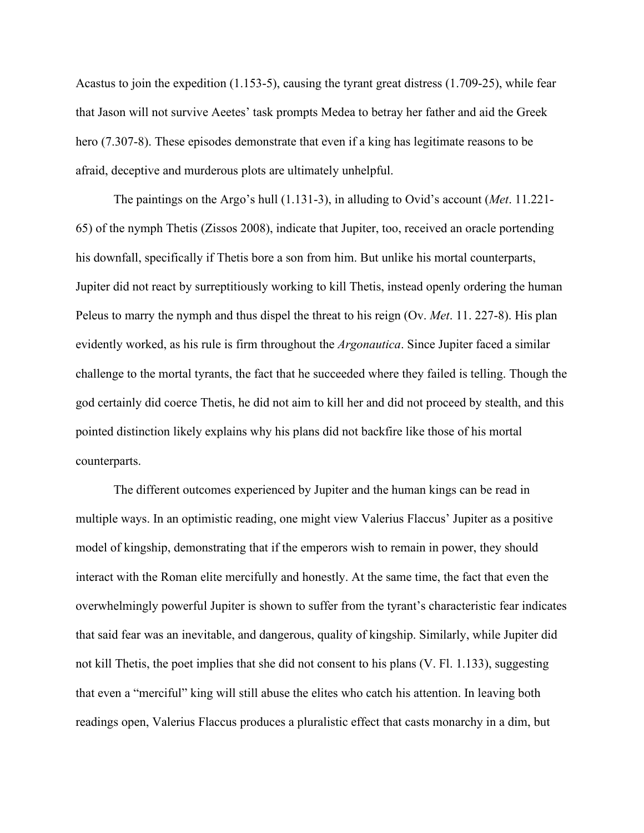Acastus to join the expedition (1.153-5), causing the tyrant great distress (1.709-25), while fear that Jason will not survive Aeetes' task prompts Medea to betray her father and aid the Greek hero (7.307-8). These episodes demonstrate that even if a king has legitimate reasons to be afraid, deceptive and murderous plots are ultimately unhelpful.

The paintings on the Argo's hull (1.131-3), in alluding to Ovid's account (*Met*. 11.221- 65) of the nymph Thetis (Zissos 2008), indicate that Jupiter, too, received an oracle portending his downfall, specifically if Thetis bore a son from him. But unlike his mortal counterparts, Jupiter did not react by surreptitiously working to kill Thetis, instead openly ordering the human Peleus to marry the nymph and thus dispel the threat to his reign (Ov. *Met*. 11. 227-8). His plan evidently worked, as his rule is firm throughout the *Argonautica*. Since Jupiter faced a similar challenge to the mortal tyrants, the fact that he succeeded where they failed is telling. Though the god certainly did coerce Thetis, he did not aim to kill her and did not proceed by stealth, and this pointed distinction likely explains why his plans did not backfire like those of his mortal counterparts.

The different outcomes experienced by Jupiter and the human kings can be read in multiple ways. In an optimistic reading, one might view Valerius Flaccus' Jupiter as a positive model of kingship, demonstrating that if the emperors wish to remain in power, they should interact with the Roman elite mercifully and honestly. At the same time, the fact that even the overwhelmingly powerful Jupiter is shown to suffer from the tyrant's characteristic fear indicates that said fear was an inevitable, and dangerous, quality of kingship. Similarly, while Jupiter did not kill Thetis, the poet implies that she did not consent to his plans (V. Fl. 1.133), suggesting that even a "merciful" king will still abuse the elites who catch his attention. In leaving both readings open, Valerius Flaccus produces a pluralistic effect that casts monarchy in a dim, but